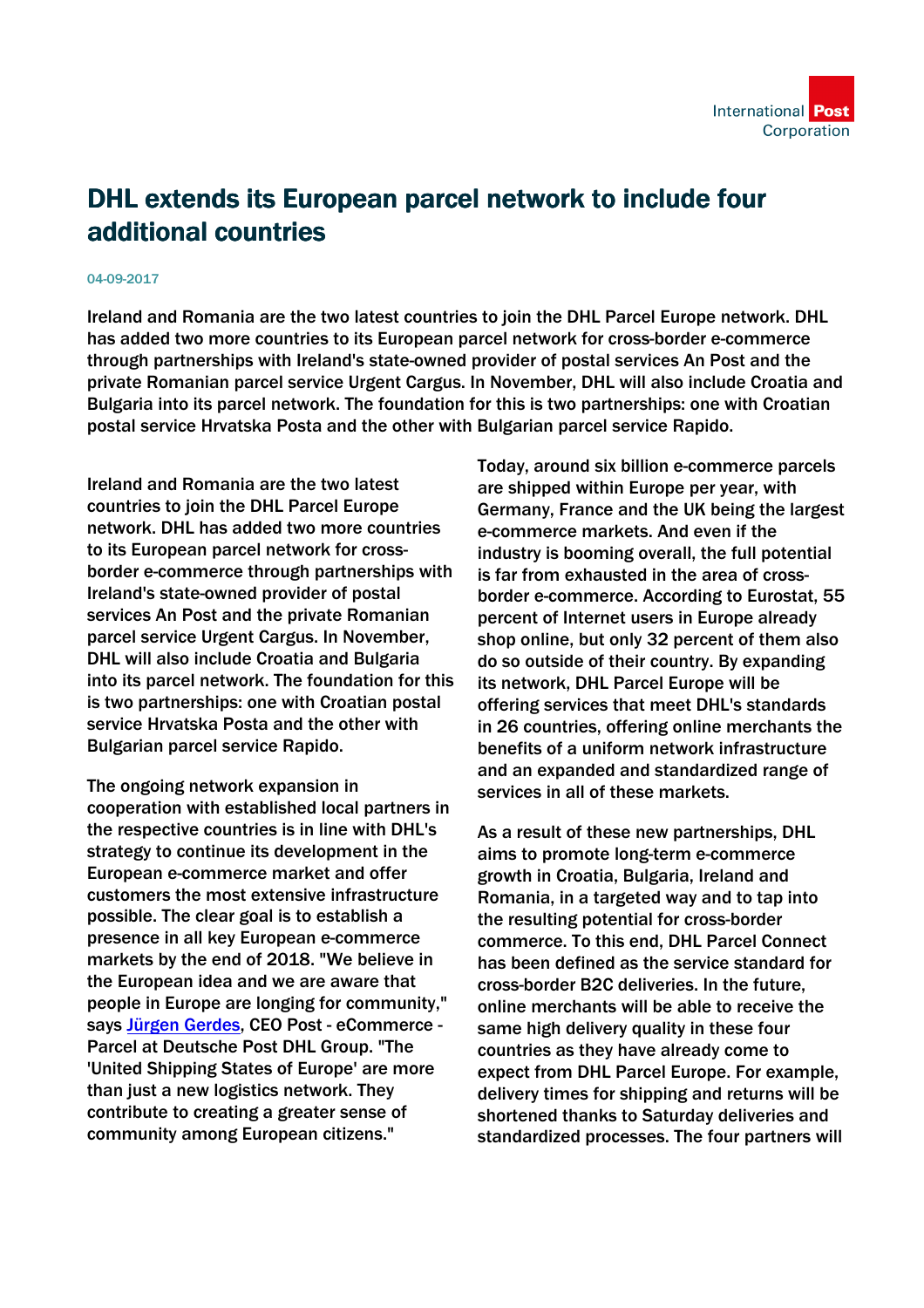## DHL extends its European parcel network to include four additional countries

## 04-09-2017

Ireland and Romania are the two latest countries to join the DHL Parcel Europe network. DHL has added two more countries to its European parcel network for cross-border e-commerce through partnerships with Ireland's state-owned provider of postal services An Post and the private Romanian parcel service Urgent Cargus. In November, DHL will also include Croatia and Bulgaria into its parcel network. The foundation for this is two partnerships: one with Croatian postal service Hrvatska Posta and the other with Bulgarian parcel service Rapido.

Ireland and Romania are the two latest countries to join the DHL Parcel Europe network. DHL has added two more countries to its European parcel network for crossborder e-commerce through partnerships with Ireland's state-owned provider of postal services An Post and the private Romanian parcel service Urgent Cargus. In November, DHL will also include Croatia and Bulgaria into its parcel network. The foundation for this is two partnerships: one with Croatian postal service Hrvatska Posta and the other with Bulgarian parcel service Rapido.

The ongoing network expansion in cooperation with established local partners in the respective countries is in line with DHL's strategy to continue its development in the European e-commerce market and offer customers the most extensive infrastructure possible. The clear goal is to establish a presence in all key European e-commerce markets by the end of 2018. "We believe in the European idea and we are aware that people in Europe are longing for community," says [Jürgen Gerdes,](http://www.dpdhl.com/en/investors/corporate_governance/board_of_management/members/juergen_gerdes.html) CEO Post - eCommerce - Parcel at Deutsche Post DHL Group. "The 'United Shipping States of Europe' are more than just a new logistics network. They contribute to creating a greater sense of community among European citizens."

Today, around six billion e-commerce parcels are shipped within Europe per year, with Germany, France and the UK being the largest e-commerce markets. And even if the industry is booming overall, the full potential is far from exhausted in the area of crossborder e-commerce. According to Eurostat, 55 percent of Internet users in Europe already shop online, but only 32 percent of them also do so outside of their country. By expanding its network, DHL Parcel Europe will be offering services that meet DHL's standards in 26 countries, offering online merchants the benefits of a uniform network infrastructure and an expanded and standardized range of services in all of these markets.

As a result of these new partnerships, DHL aims to promote long-term e-commerce growth in Croatia, Bulgaria, Ireland and Romania, in a targeted way and to tap into the resulting potential for cross-border commerce. To this end, DHL Parcel Connect has been defined as the service standard for cross-border B2C deliveries. In the future, online merchants will be able to receive the same high delivery quality in these four countries as they have already come to expect from DHL Parcel Europe. For example, delivery times for shipping and returns will be shortened thanks to Saturday deliveries and standardized processes. The four partners will